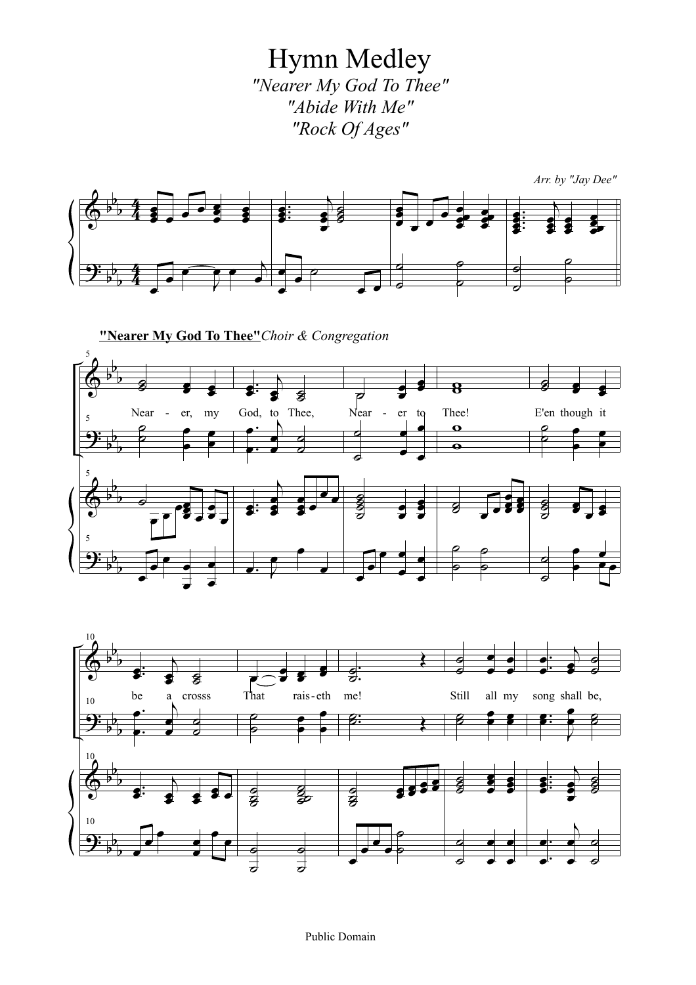Hymn Medley *"Nearer My God To Thee" "Abide With Me" "Rock Of Ages"*







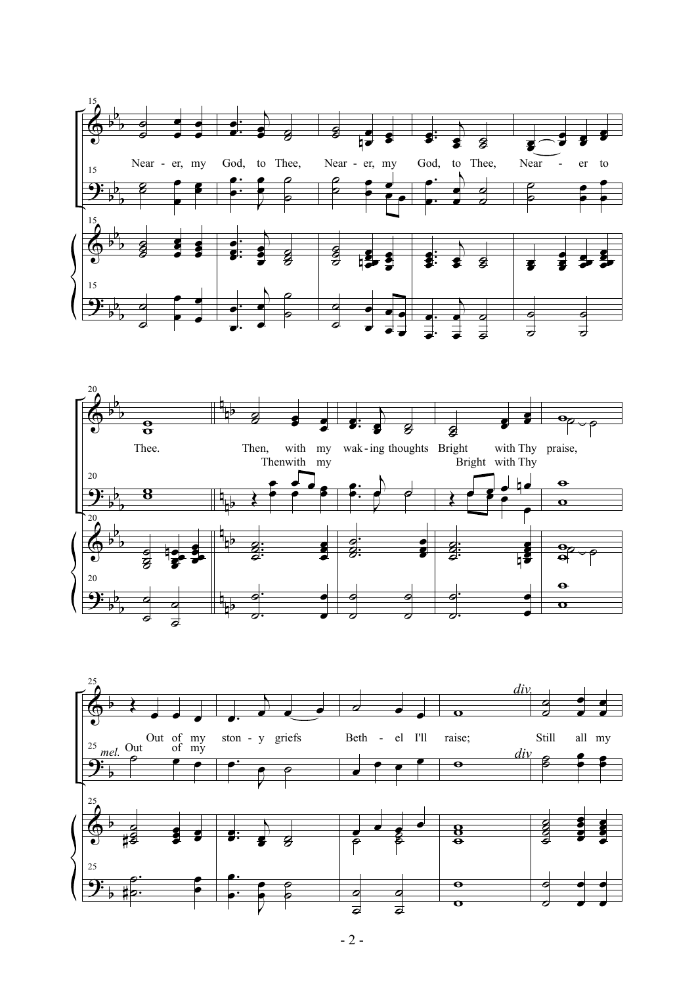



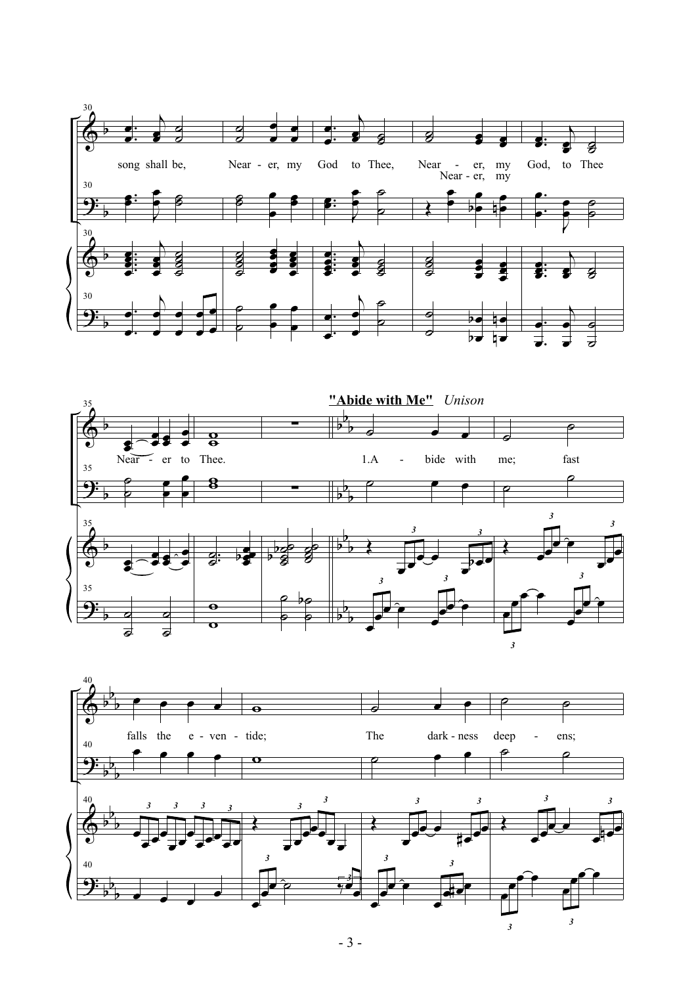



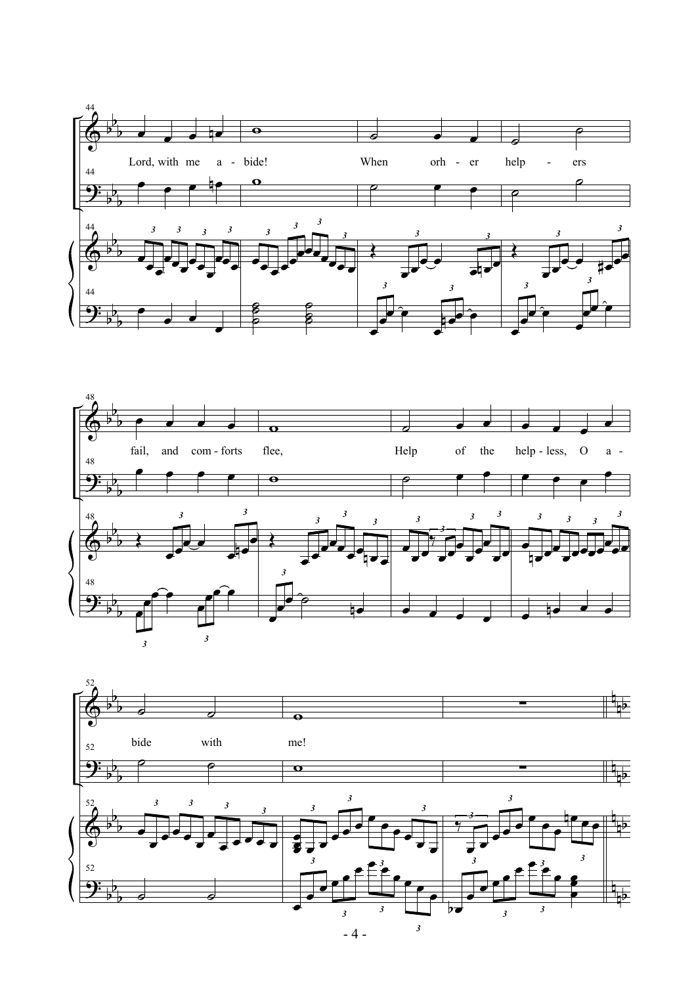



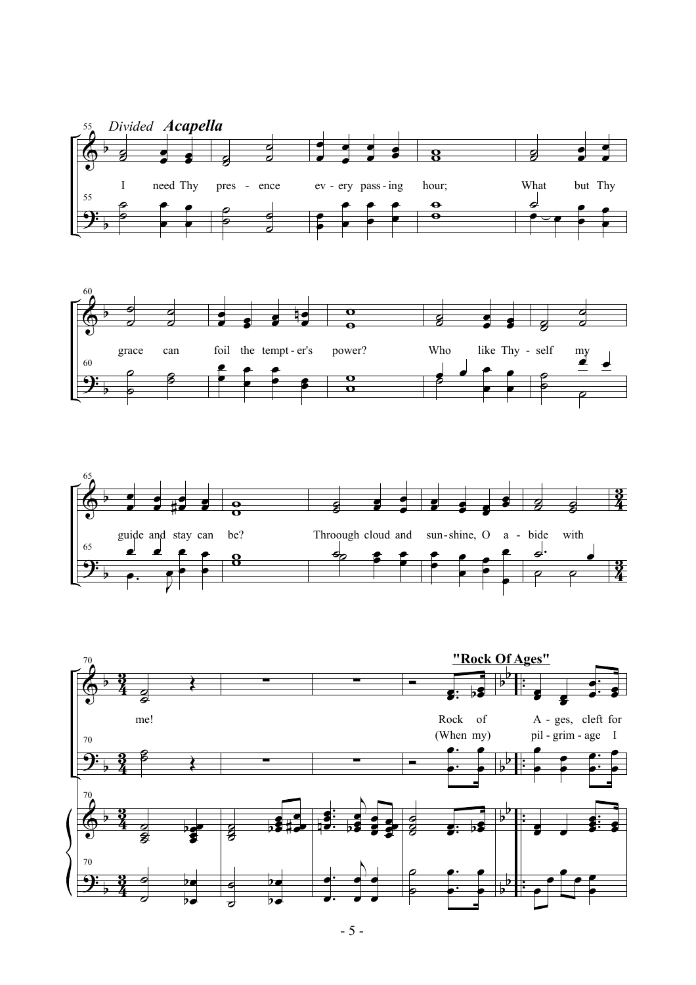





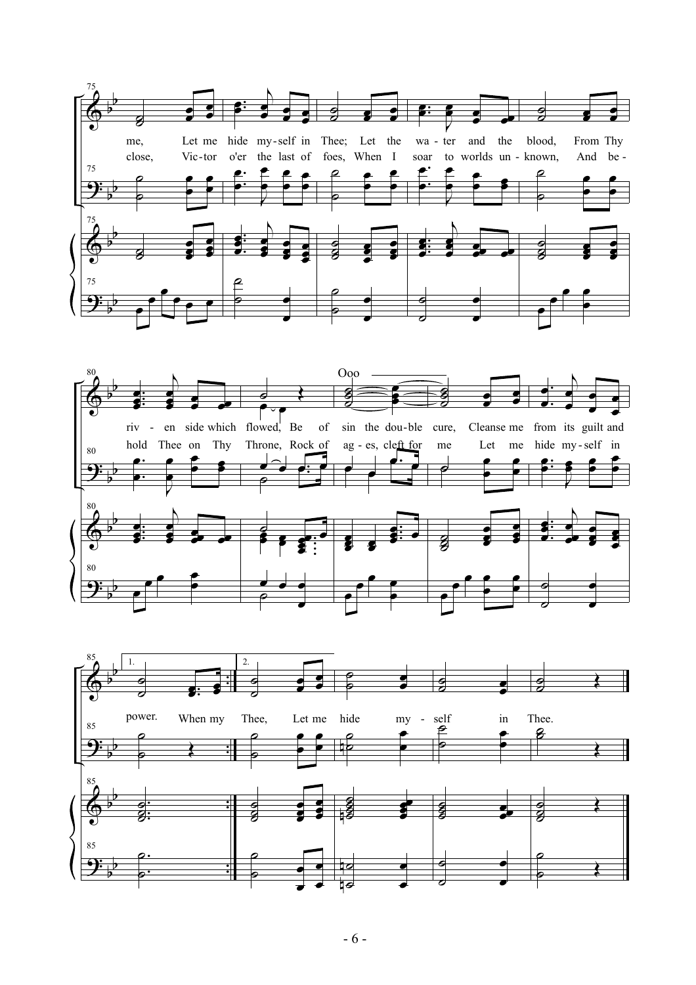